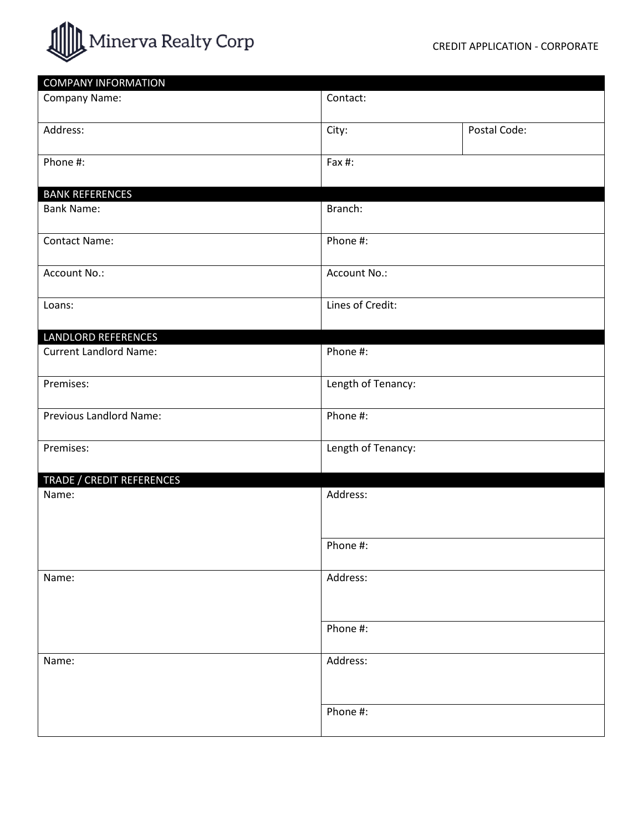

| <b>COMPANY INFORMATION</b>    |                    |              |
|-------------------------------|--------------------|--------------|
| Company Name:                 | Contact:           |              |
| Address:                      | City:              | Postal Code: |
| Phone #:                      | Fax #:             |              |
| <b>BANK REFERENCES</b>        |                    |              |
| <b>Bank Name:</b>             | Branch:            |              |
| <b>Contact Name:</b>          | Phone #:           |              |
| Account No.:                  | Account No.:       |              |
| Loans:                        | Lines of Credit:   |              |
| <b>LANDLORD REFERENCES</b>    |                    |              |
| <b>Current Landlord Name:</b> | Phone #:           |              |
| Premises:                     | Length of Tenancy: |              |
| Previous Landlord Name:       | Phone #:           |              |
| Premises:                     | Length of Tenancy: |              |
| TRADE / CREDIT REFERENCES     |                    |              |
| Name:                         | Address:           |              |
|                               | Phone #:           |              |
| Name:                         | Address:           |              |
|                               | Phone #:           |              |
| Name:                         | Address:           |              |
|                               | Phone #:           |              |